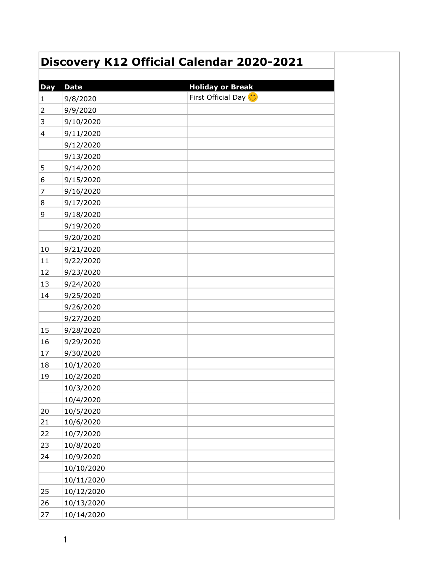| Discovery K12 Official Calendar 2020-2021 |             |                             |
|-------------------------------------------|-------------|-----------------------------|
|                                           |             |                             |
| <b>Day</b>                                | <b>Date</b> | <b>Holiday or Break</b>     |
| $\mathbf{1}$                              | 9/8/2020    | First Official Day <b>U</b> |
| $\overline{2}$                            | 9/9/2020    |                             |
| 3                                         | 9/10/2020   |                             |
| $\vert 4 \vert$                           | 9/11/2020   |                             |
|                                           | 9/12/2020   |                             |
|                                           | 9/13/2020   |                             |
| 5                                         | 9/14/2020   |                             |
| 6                                         | 9/15/2020   |                             |
| 7                                         | 9/16/2020   |                             |
| 8                                         | 9/17/2020   |                             |
| 9                                         | 9/18/2020   |                             |
|                                           | 9/19/2020   |                             |
|                                           | 9/20/2020   |                             |
| 10                                        | 9/21/2020   |                             |
| 11                                        | 9/22/2020   |                             |
| 12                                        | 9/23/2020   |                             |
| 13                                        | 9/24/2020   |                             |
| 14                                        | 9/25/2020   |                             |
|                                           | 9/26/2020   |                             |
|                                           | 9/27/2020   |                             |
| 15                                        | 9/28/2020   |                             |
| 16                                        | 9/29/2020   |                             |
| 17                                        | 9/30/2020   |                             |
| 18                                        | 10/1/2020   |                             |
| 19                                        | 10/2/2020   |                             |
|                                           | 10/3/2020   |                             |
|                                           | 10/4/2020   |                             |
| 20                                        | 10/5/2020   |                             |
| 21                                        | 10/6/2020   |                             |
| 22                                        | 10/7/2020   |                             |
| 23                                        | 10/8/2020   |                             |
| 24                                        | 10/9/2020   |                             |
|                                           | 10/10/2020  |                             |
|                                           | 10/11/2020  |                             |
| 25                                        | 10/12/2020  |                             |
| 26                                        | 10/13/2020  |                             |
| 27                                        | 10/14/2020  |                             |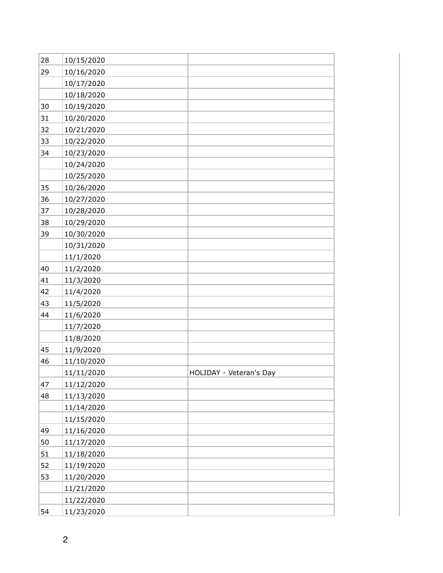| 28 | 10/15/2020 |                         |
|----|------------|-------------------------|
| 29 | 10/16/2020 |                         |
|    | 10/17/2020 |                         |
|    | 10/18/2020 |                         |
| 30 | 10/19/2020 |                         |
| 31 | 10/20/2020 |                         |
| 32 | 10/21/2020 |                         |
| 33 | 10/22/2020 |                         |
| 34 | 10/23/2020 |                         |
|    | 10/24/2020 |                         |
|    | 10/25/2020 |                         |
| 35 | 10/26/2020 |                         |
| 36 | 10/27/2020 |                         |
| 37 | 10/28/2020 |                         |
| 38 | 10/29/2020 |                         |
| 39 | 10/30/2020 |                         |
|    | 10/31/2020 |                         |
|    | 11/1/2020  |                         |
| 40 | 11/2/2020  |                         |
| 41 | 11/3/2020  |                         |
| 42 | 11/4/2020  |                         |
| 43 | 11/5/2020  |                         |
| 44 | 11/6/2020  |                         |
|    | 11/7/2020  |                         |
|    | 11/8/2020  |                         |
| 45 | 11/9/2020  |                         |
| 46 | 11/10/2020 |                         |
|    | 11/11/2020 | HOLIDAY - Veteran's Day |
| 47 | 11/12/2020 |                         |
| 48 | 11/13/2020 |                         |
|    | 11/14/2020 |                         |
|    | 11/15/2020 |                         |
| 49 | 11/16/2020 |                         |
| 50 | 11/17/2020 |                         |
| 51 | 11/18/2020 |                         |
| 52 | 11/19/2020 |                         |
| 53 | 11/20/2020 |                         |
|    | 11/21/2020 |                         |
|    | 11/22/2020 |                         |
| 54 | 11/23/2020 |                         |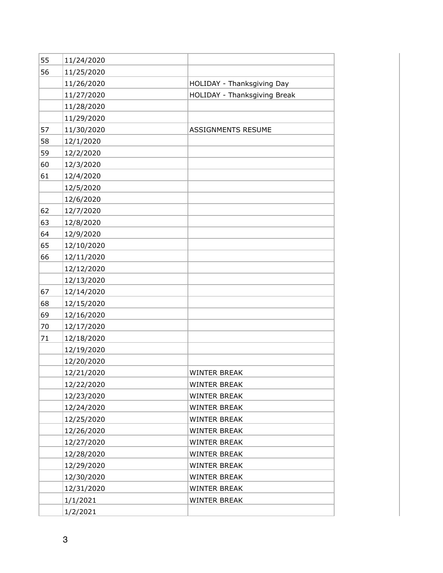| 55 | 11/24/2020 |                              |
|----|------------|------------------------------|
| 56 | 11/25/2020 |                              |
|    | 11/26/2020 | HOLIDAY - Thanksgiving Day   |
|    | 11/27/2020 | HOLIDAY - Thanksgiving Break |
|    | 11/28/2020 |                              |
|    | 11/29/2020 |                              |
| 57 | 11/30/2020 | <b>ASSIGNMENTS RESUME</b>    |
| 58 | 12/1/2020  |                              |
| 59 | 12/2/2020  |                              |
| 60 | 12/3/2020  |                              |
| 61 | 12/4/2020  |                              |
|    | 12/5/2020  |                              |
|    | 12/6/2020  |                              |
| 62 | 12/7/2020  |                              |
| 63 | 12/8/2020  |                              |
| 64 | 12/9/2020  |                              |
| 65 | 12/10/2020 |                              |
| 66 | 12/11/2020 |                              |
|    | 12/12/2020 |                              |
|    | 12/13/2020 |                              |
| 67 | 12/14/2020 |                              |
| 68 | 12/15/2020 |                              |
| 69 | 12/16/2020 |                              |
| 70 | 12/17/2020 |                              |
| 71 | 12/18/2020 |                              |
|    | 12/19/2020 |                              |
|    | 12/20/2020 |                              |
|    | 12/21/2020 | <b>WINTER BREAK</b>          |
|    | 12/22/2020 | <b>WINTER BREAK</b>          |
|    | 12/23/2020 | <b>WINTER BREAK</b>          |
|    | 12/24/2020 | <b>WINTER BREAK</b>          |
|    | 12/25/2020 | <b>WINTER BREAK</b>          |
|    | 12/26/2020 | <b>WINTER BREAK</b>          |
|    | 12/27/2020 | <b>WINTER BREAK</b>          |
|    | 12/28/2020 | <b>WINTER BREAK</b>          |
|    | 12/29/2020 | <b>WINTER BREAK</b>          |
|    | 12/30/2020 | <b>WINTER BREAK</b>          |
|    | 12/31/2020 | <b>WINTER BREAK</b>          |
|    | 1/1/2021   | <b>WINTER BREAK</b>          |
|    | 1/2/2021   |                              |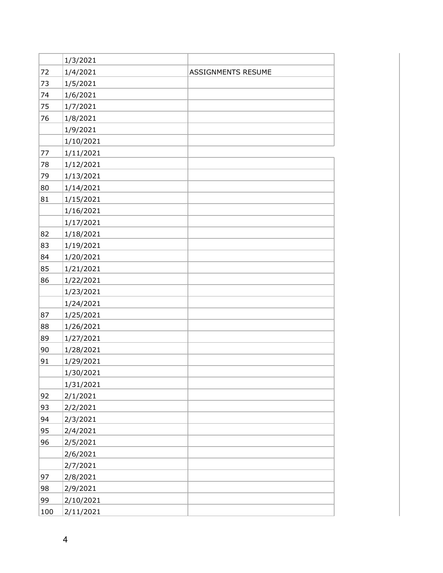|     | 1/3/2021  |                           |
|-----|-----------|---------------------------|
| 72  | 1/4/2021  | <b>ASSIGNMENTS RESUME</b> |
| 73  | 1/5/2021  |                           |
| 74  | 1/6/2021  |                           |
| 75  | 1/7/2021  |                           |
| 76  | 1/8/2021  |                           |
|     | 1/9/2021  |                           |
|     | 1/10/2021 |                           |
| 77  | 1/11/2021 |                           |
| 78  | 1/12/2021 |                           |
| 79  | 1/13/2021 |                           |
| 80  | 1/14/2021 |                           |
| 81  | 1/15/2021 |                           |
|     | 1/16/2021 |                           |
|     | 1/17/2021 |                           |
| 82  | 1/18/2021 |                           |
| 83  | 1/19/2021 |                           |
| 84  | 1/20/2021 |                           |
| 85  | 1/21/2021 |                           |
| 86  | 1/22/2021 |                           |
|     | 1/23/2021 |                           |
|     | 1/24/2021 |                           |
| 87  | 1/25/2021 |                           |
| 88  | 1/26/2021 |                           |
| 89  | 1/27/2021 |                           |
| 90  | 1/28/2021 |                           |
| 91  | 1/29/2021 |                           |
|     | 1/30/2021 |                           |
|     | 1/31/2021 |                           |
| 92  | 2/1/2021  |                           |
| 93  | 2/2/2021  |                           |
| 94  | 2/3/2021  |                           |
| 95  | 2/4/2021  |                           |
| 96  | 2/5/2021  |                           |
|     | 2/6/2021  |                           |
|     | 2/7/2021  |                           |
| 97  | 2/8/2021  |                           |
| 98  | 2/9/2021  |                           |
| 99  | 2/10/2021 |                           |
| 100 | 2/11/2021 |                           |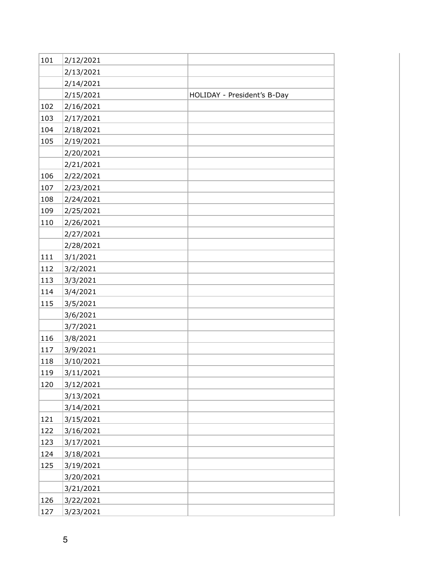| 101 | 2/12/2021 |                             |
|-----|-----------|-----------------------------|
|     | 2/13/2021 |                             |
|     | 2/14/2021 |                             |
|     | 2/15/2021 | HOLIDAY - President's B-Day |
| 102 | 2/16/2021 |                             |
| 103 | 2/17/2021 |                             |
| 104 | 2/18/2021 |                             |
| 105 | 2/19/2021 |                             |
|     | 2/20/2021 |                             |
|     | 2/21/2021 |                             |
| 106 | 2/22/2021 |                             |
| 107 | 2/23/2021 |                             |
| 108 | 2/24/2021 |                             |
| 109 | 2/25/2021 |                             |
| 110 | 2/26/2021 |                             |
|     | 2/27/2021 |                             |
|     | 2/28/2021 |                             |
| 111 | 3/1/2021  |                             |
| 112 | 3/2/2021  |                             |
| 113 | 3/3/2021  |                             |
| 114 | 3/4/2021  |                             |
| 115 | 3/5/2021  |                             |
|     | 3/6/2021  |                             |
|     | 3/7/2021  |                             |
| 116 | 3/8/2021  |                             |
| 117 | 3/9/2021  |                             |
| 118 | 3/10/2021 |                             |
| 119 | 3/11/2021 |                             |
| 120 | 3/12/2021 |                             |
|     | 3/13/2021 |                             |
|     | 3/14/2021 |                             |
| 121 | 3/15/2021 |                             |
| 122 | 3/16/2021 |                             |
| 123 | 3/17/2021 |                             |
| 124 | 3/18/2021 |                             |
| 125 | 3/19/2021 |                             |
|     | 3/20/2021 |                             |
|     | 3/21/2021 |                             |
| 126 | 3/22/2021 |                             |
| 127 | 3/23/2021 |                             |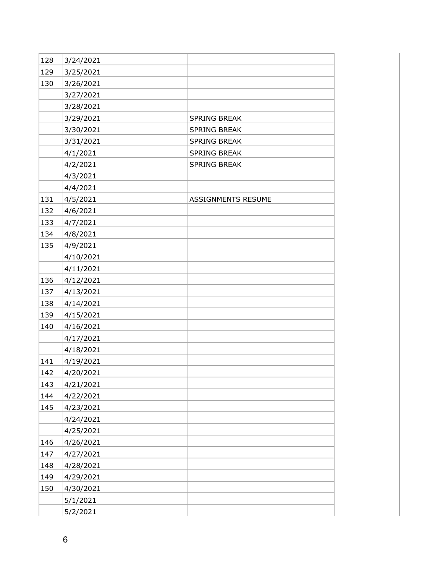| 128 | 3/24/2021 |                           |
|-----|-----------|---------------------------|
| 129 | 3/25/2021 |                           |
| 130 | 3/26/2021 |                           |
|     | 3/27/2021 |                           |
|     | 3/28/2021 |                           |
|     | 3/29/2021 | SPRING BREAK              |
|     | 3/30/2021 | SPRING BREAK              |
|     | 3/31/2021 | <b>SPRING BREAK</b>       |
|     | 4/1/2021  | SPRING BREAK              |
|     | 4/2/2021  | SPRING BREAK              |
|     | 4/3/2021  |                           |
|     | 4/4/2021  |                           |
| 131 | 4/5/2021  | <b>ASSIGNMENTS RESUME</b> |
| 132 | 4/6/2021  |                           |
| 133 | 4/7/2021  |                           |
| 134 | 4/8/2021  |                           |
| 135 | 4/9/2021  |                           |
|     | 4/10/2021 |                           |
|     | 4/11/2021 |                           |
| 136 | 4/12/2021 |                           |
| 137 | 4/13/2021 |                           |
| 138 | 4/14/2021 |                           |
| 139 | 4/15/2021 |                           |
| 140 | 4/16/2021 |                           |
|     | 4/17/2021 |                           |
|     | 4/18/2021 |                           |
| 141 | 4/19/2021 |                           |
| 142 | 4/20/2021 |                           |
| 143 | 4/21/2021 |                           |
| 144 | 4/22/2021 |                           |
| 145 | 4/23/2021 |                           |
|     | 4/24/2021 |                           |
|     | 4/25/2021 |                           |
| 146 | 4/26/2021 |                           |
| 147 | 4/27/2021 |                           |
| 148 | 4/28/2021 |                           |
| 149 | 4/29/2021 |                           |
| 150 | 4/30/2021 |                           |
|     | 5/1/2021  |                           |
|     | 5/2/2021  |                           |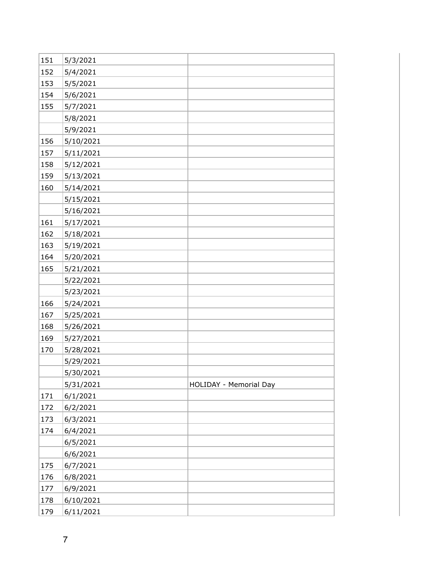| 151 | 5/3/2021  |                        |
|-----|-----------|------------------------|
| 152 | 5/4/2021  |                        |
| 153 | 5/5/2021  |                        |
| 154 | 5/6/2021  |                        |
| 155 | 5/7/2021  |                        |
|     | 5/8/2021  |                        |
|     | 5/9/2021  |                        |
| 156 | 5/10/2021 |                        |
| 157 | 5/11/2021 |                        |
| 158 | 5/12/2021 |                        |
| 159 | 5/13/2021 |                        |
| 160 | 5/14/2021 |                        |
|     | 5/15/2021 |                        |
|     | 5/16/2021 |                        |
| 161 | 5/17/2021 |                        |
| 162 | 5/18/2021 |                        |
| 163 | 5/19/2021 |                        |
| 164 | 5/20/2021 |                        |
| 165 | 5/21/2021 |                        |
|     | 5/22/2021 |                        |
|     | 5/23/2021 |                        |
| 166 | 5/24/2021 |                        |
| 167 | 5/25/2021 |                        |
| 168 | 5/26/2021 |                        |
| 169 | 5/27/2021 |                        |
| 170 | 5/28/2021 |                        |
|     | 5/29/2021 |                        |
|     | 5/30/2021 |                        |
|     | 5/31/2021 | HOLIDAY - Memorial Day |
| 171 | 6/1/2021  |                        |
| 172 | 6/2/2021  |                        |
| 173 | 6/3/2021  |                        |
| 174 | 6/4/2021  |                        |
|     | 6/5/2021  |                        |
|     | 6/6/2021  |                        |
| 175 | 6/7/2021  |                        |
| 176 | 6/8/2021  |                        |
| 177 | 6/9/2021  |                        |
| 178 | 6/10/2021 |                        |
| 179 | 6/11/2021 |                        |